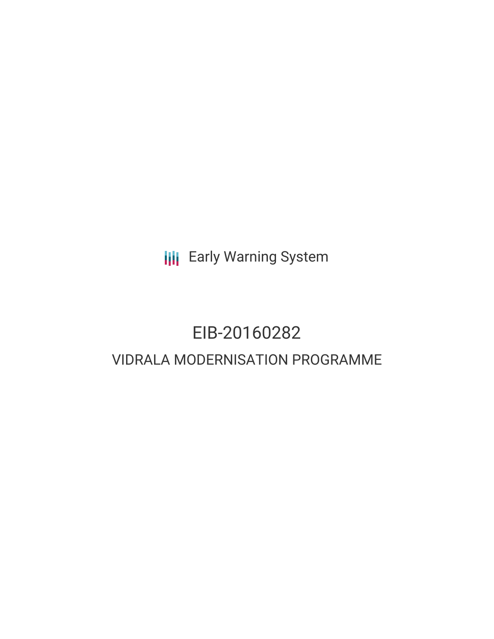**III** Early Warning System

# EIB-20160282 VIDRALA MODERNISATION PROGRAMME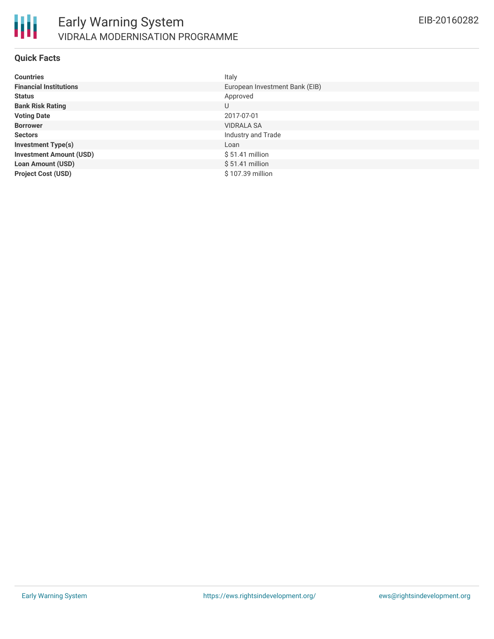

#### **Quick Facts**

| <b>Countries</b>               | Italy                          |
|--------------------------------|--------------------------------|
| <b>Financial Institutions</b>  | European Investment Bank (EIB) |
| <b>Status</b>                  | Approved                       |
| <b>Bank Risk Rating</b>        | U                              |
| <b>Voting Date</b>             | 2017-07-01                     |
| <b>Borrower</b>                | <b>VIDRALA SA</b>              |
| <b>Sectors</b>                 | Industry and Trade             |
| <b>Investment Type(s)</b>      | Loan                           |
| <b>Investment Amount (USD)</b> | $$51.41$ million               |
| <b>Loan Amount (USD)</b>       | $$51.41$ million               |
| <b>Project Cost (USD)</b>      | \$107.39 million               |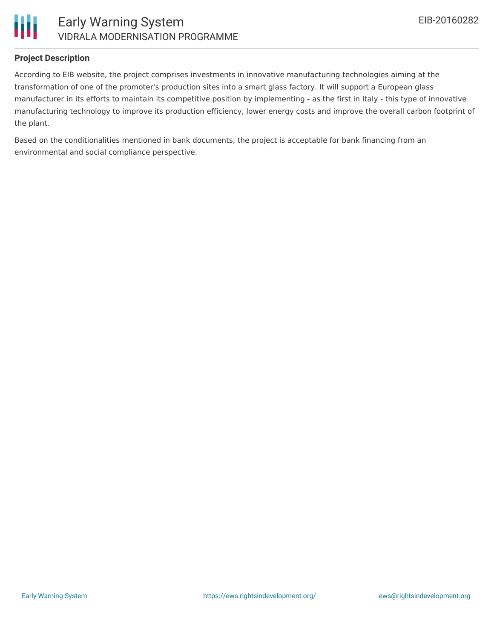

## **Project Description**

According to EIB website, the project comprises investments in innovative manufacturing technologies aiming at the transformation of one of the promoter's production sites into a smart glass factory. It will support a European glass manufacturer in its efforts to maintain its competitive position by implementing - as the first in Italy - this type of innovative manufacturing technology to improve its production efficiency, lower energy costs and improve the overall carbon footprint of the plant.

Based on the conditionalities mentioned in bank documents, the project is acceptable for bank financing from an environmental and social compliance perspective.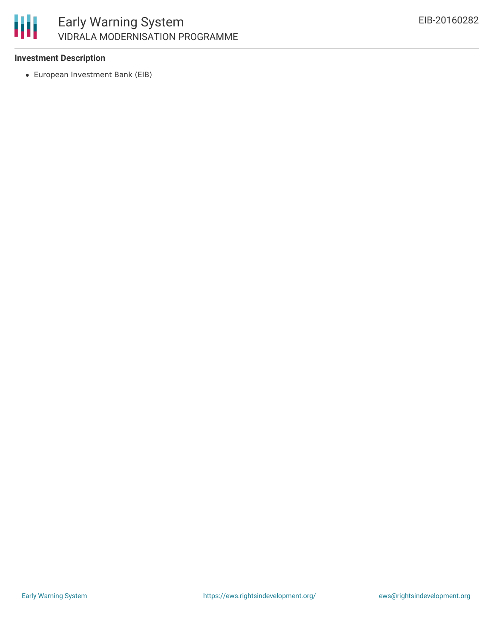

## **Investment Description**

European Investment Bank (EIB)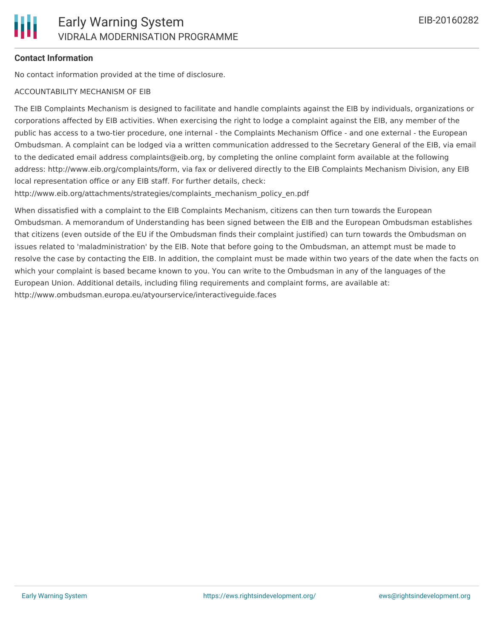## **Contact Information**

No contact information provided at the time of disclosure.

#### ACCOUNTABILITY MECHANISM OF EIB

The EIB Complaints Mechanism is designed to facilitate and handle complaints against the EIB by individuals, organizations or corporations affected by EIB activities. When exercising the right to lodge a complaint against the EIB, any member of the public has access to a two-tier procedure, one internal - the Complaints Mechanism Office - and one external - the European Ombudsman. A complaint can be lodged via a written communication addressed to the Secretary General of the EIB, via email to the dedicated email address complaints@eib.org, by completing the online complaint form available at the following address: http://www.eib.org/complaints/form, via fax or delivered directly to the EIB Complaints Mechanism Division, any EIB local representation office or any EIB staff. For further details, check:

http://www.eib.org/attachments/strategies/complaints\_mechanism\_policy\_en.pdf

When dissatisfied with a complaint to the EIB Complaints Mechanism, citizens can then turn towards the European Ombudsman. A memorandum of Understanding has been signed between the EIB and the European Ombudsman establishes that citizens (even outside of the EU if the Ombudsman finds their complaint justified) can turn towards the Ombudsman on issues related to 'maladministration' by the EIB. Note that before going to the Ombudsman, an attempt must be made to resolve the case by contacting the EIB. In addition, the complaint must be made within two years of the date when the facts on which your complaint is based became known to you. You can write to the Ombudsman in any of the languages of the European Union. Additional details, including filing requirements and complaint forms, are available at: http://www.ombudsman.europa.eu/atyourservice/interactiveguide.faces